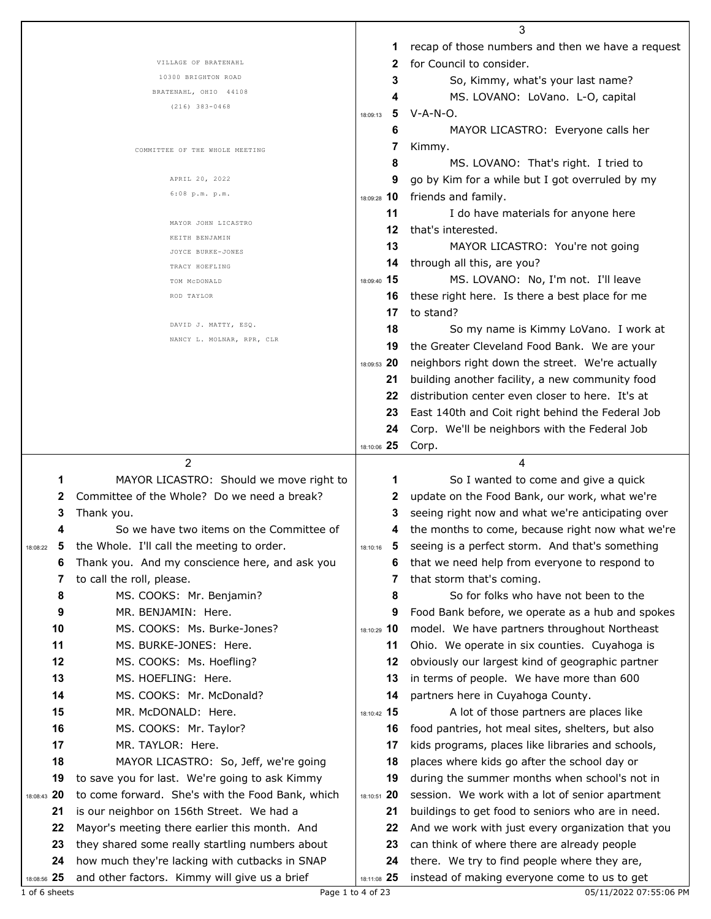|                   |                                                                                                 |                   | 3                                                                                            |
|-------------------|-------------------------------------------------------------------------------------------------|-------------------|----------------------------------------------------------------------------------------------|
|                   |                                                                                                 | 1                 | recap of those numbers and then we have a request                                            |
|                   | VILLAGE OF BRATENAHL                                                                            | 2                 | for Council to consider.                                                                     |
|                   | 10300 BRIGHTON ROAD                                                                             | 3                 | So, Kimmy, what's your last name?                                                            |
|                   | BRATENAHL, OHIO 44108                                                                           | 4                 | MS. LOVANO: LoVano. L-O, capital                                                             |
|                   | $(216)$ 383-0468                                                                                | 5<br>18:09:13     | $V-A-N-O.$                                                                                   |
|                   |                                                                                                 | 6                 | MAYOR LICASTRO: Everyone calls her                                                           |
|                   |                                                                                                 | 7                 | Kimmy.                                                                                       |
|                   | COMMITTEE OF THE WHOLE MEETING                                                                  | 8                 | MS. LOVANO: That's right. I tried to                                                         |
|                   | APRIL 20, 2022                                                                                  | 9                 |                                                                                              |
|                   | 6:08 p.m. p.m.                                                                                  |                   | go by Kim for a while but I got overruled by my                                              |
|                   |                                                                                                 | 18:09:28 10       | friends and family.                                                                          |
|                   | MAYOR JOHN LICASTRO                                                                             | 11                | I do have materials for anyone here                                                          |
|                   | KEITH BENJAMIN                                                                                  | 12                | that's interested.                                                                           |
|                   | JOYCE BURKE-JONES                                                                               | 13                | MAYOR LICASTRO: You're not going                                                             |
|                   | TRACY HOEFLING                                                                                  | 14                | through all this, are you?                                                                   |
|                   | TOM MCDONALD                                                                                    | 18:09:40 15       | MS. LOVANO: No, I'm not. I'll leave                                                          |
|                   | ROD TAYLOR                                                                                      | 16                | these right here. Is there a best place for me                                               |
|                   |                                                                                                 | 17                | to stand?                                                                                    |
|                   | DAVID J. MATTY, ESQ.                                                                            | 18                | So my name is Kimmy LoVano. I work at                                                        |
|                   | NANCY L. MOLNAR, RPR, CLR                                                                       | 19                | the Greater Cleveland Food Bank. We are your                                                 |
|                   |                                                                                                 | 18:09:53 20       | neighbors right down the street. We're actually                                              |
|                   |                                                                                                 |                   |                                                                                              |
|                   |                                                                                                 | 21                | building another facility, a new community food                                              |
|                   |                                                                                                 | 22                | distribution center even closer to here. It's at                                             |
|                   |                                                                                                 | 23                | East 140th and Coit right behind the Federal Job                                             |
|                   |                                                                                                 | 24                | Corp. We'll be neighbors with the Federal Job                                                |
|                   |                                                                                                 | 18:10:06 25       |                                                                                              |
|                   |                                                                                                 |                   | Corp.                                                                                        |
|                   | $\overline{2}$                                                                                  |                   | 4                                                                                            |
| 1                 | MAYOR LICASTRO: Should we move right to                                                         | 1                 | So I wanted to come and give a quick                                                         |
| 2                 | Committee of the Whole? Do we need a break?                                                     | 2                 | update on the Food Bank, our work, what we're                                                |
| 3                 | Thank you.                                                                                      | 3                 | seeing right now and what we're anticipating over                                            |
| 4                 | So we have two items on the Committee of                                                        |                   | the months to come, because right now what we're                                             |
| 18:08:22          |                                                                                                 | 18:10:16          | seeing is a perfect storm. And that's something                                              |
| 6                 | the Whole. I'll call the meeting to order.                                                      | 6                 |                                                                                              |
| 7                 | Thank you. And my conscience here, and ask you                                                  | 7                 | that we need help from everyone to respond to                                                |
|                   | to call the roll, please.                                                                       |                   | that storm that's coming.                                                                    |
| 8                 | MS. COOKS: Mr. Benjamin?                                                                        | 8                 | So for folks who have not been to the                                                        |
| 9                 | MR. BENJAMIN: Here.                                                                             | 9                 | Food Bank before, we operate as a hub and spokes                                             |
| 10                | MS. COOKS: Ms. Burke-Jones?                                                                     | 18:10:29 10       | model. We have partners throughout Northeast                                                 |
| 11                | MS. BURKE-JONES: Here.                                                                          | 11                | Ohio. We operate in six counties. Cuyahoga is                                                |
| 12                | MS. COOKS: Ms. Hoefling?                                                                        | 12                | obviously our largest kind of geographic partner                                             |
| 13                | MS. HOEFLING: Here.                                                                             | 13                | in terms of people. We have more than 600                                                    |
| 14                | MS. COOKS: Mr. McDonald?                                                                        | 14                | partners here in Cuyahoga County.                                                            |
| 15                | MR. McDONALD: Here.                                                                             | 18:10:42 15       | A lot of those partners are places like                                                      |
| 16                | MS. COOKS: Mr. Taylor?                                                                          | 16                | food pantries, hot meal sites, shelters, but also                                            |
| 17                | MR. TAYLOR: Here.                                                                               | 17                | kids programs, places like libraries and schools,                                            |
| 18                | MAYOR LICASTRO: So, Jeff, we're going                                                           | 18                | places where kids go after the school day or                                                 |
| 19                | to save you for last. We're going to ask Kimmy                                                  | 19                | during the summer months when school's not in                                                |
| 18:08:43 20       | to come forward. She's with the Food Bank, which                                                | 18:10:51 20       | session. We work with a lot of senior apartment                                              |
| 21                | is our neighbor on 156th Street. We had a                                                       | 21                | buildings to get food to seniors who are in need.                                            |
| 22                |                                                                                                 | 22                |                                                                                              |
|                   | Mayor's meeting there earlier this month. And                                                   | 23                | And we work with just every organization that you                                            |
| 23                | they shared some really startling numbers about                                                 |                   | can think of where there are already people                                                  |
| 24<br>18:08:56 25 | how much they're lacking with cutbacks in SNAP<br>and other factors. Kimmy will give us a brief | 24<br>18:11:08 25 | there. We try to find people where they are,<br>instead of making everyone come to us to get |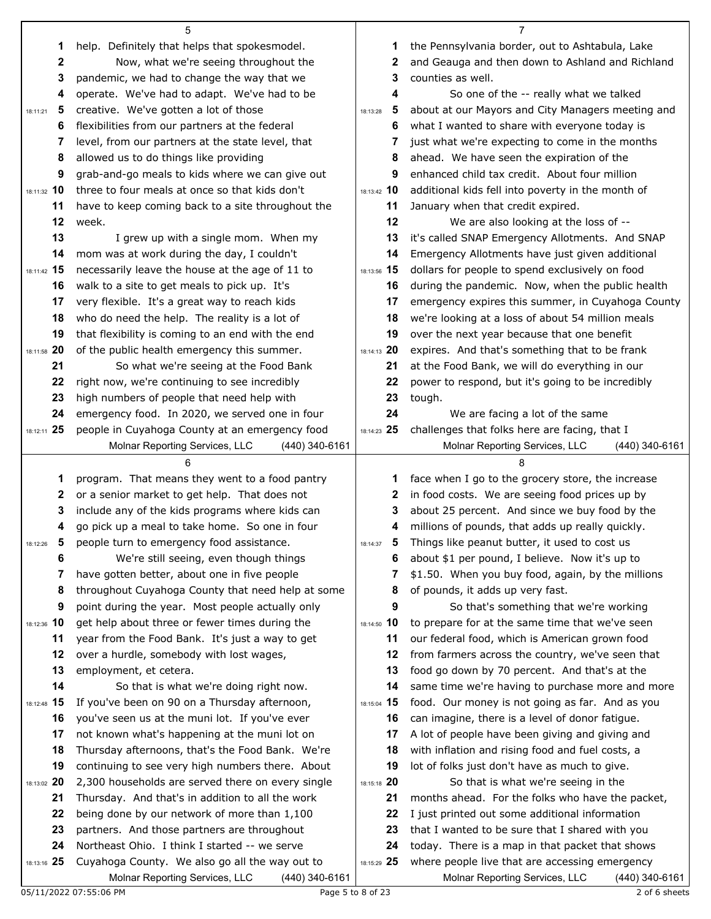| 1             | help. Definitely that helps that spokesmodel.                                                    | 1                 | the Pennsylvania border, out to Ashtabula, Lake                                                    |
|---------------|--------------------------------------------------------------------------------------------------|-------------------|----------------------------------------------------------------------------------------------------|
| 2             | Now, what we're seeing throughout the                                                            | 2                 | and Geauga and then down to Ashland and Richland                                                   |
| 3             | pandemic, we had to change the way that we                                                       | 3                 | counties as well.                                                                                  |
| 4             | operate. We've had to adapt. We've had to be                                                     | 4                 | So one of the -- really what we talked                                                             |
| 5<br>18:11:21 | creative. We've gotten a lot of those                                                            | 5<br>18:13:28     | about at our Mayors and City Managers meeting and                                                  |
| 6             | flexibilities from our partners at the federal                                                   | 6                 | what I wanted to share with everyone today is                                                      |
| 7             | level, from our partners at the state level, that                                                | 7                 | just what we're expecting to come in the months                                                    |
| 8             | allowed us to do things like providing                                                           | 8                 | ahead. We have seen the expiration of the                                                          |
| 9             | grab-and-go meals to kids where we can give out                                                  | 9                 | enhanced child tax credit. About four million                                                      |
| 18:11:32 10   | three to four meals at once so that kids don't                                                   | 18:13:42 10       | additional kids fell into poverty in the month of                                                  |
| 11            | have to keep coming back to a site throughout the                                                | 11                | January when that credit expired.                                                                  |
| 12            | week.                                                                                            | 12                | We are also looking at the loss of --                                                              |
| 13            | I grew up with a single mom. When my                                                             | 13                | it's called SNAP Emergency Allotments. And SNAP                                                    |
| 14            | mom was at work during the day, I couldn't                                                       | 14                | Emergency Allotments have just given additional                                                    |
| 18:11:42 15   | necessarily leave the house at the age of 11 to                                                  | 18:13:56 15       | dollars for people to spend exclusively on food                                                    |
| 16            | walk to a site to get meals to pick up. It's                                                     | 16                | during the pandemic. Now, when the public health                                                   |
| 17            | very flexible. It's a great way to reach kids                                                    | 17                | emergency expires this summer, in Cuyahoga County                                                  |
| 18            | who do need the help. The reality is a lot of                                                    | 18                | we're looking at a loss of about 54 million meals                                                  |
| 19            | that flexibility is coming to an end with the end                                                | 19                | over the next year because that one benefit                                                        |
| 18:11:58 20   | of the public health emergency this summer.                                                      | 18:14:13 20       | expires. And that's something that to be frank                                                     |
| 21            | So what we're seeing at the Food Bank                                                            | 21                | at the Food Bank, we will do everything in our                                                     |
| 22            | right now, we're continuing to see incredibly                                                    | 22                | power to respond, but it's going to be incredibly                                                  |
| 23            | high numbers of people that need help with                                                       | 23                | tough.                                                                                             |
| 24            | emergency food. In 2020, we served one in four                                                   | 24                | We are facing a lot of the same                                                                    |
| 18:12:11 25   | people in Cuyahoga County at an emergency food                                                   | 18:14:23 25       | challenges that folks here are facing, that I                                                      |
|               | Molnar Reporting Services, LLC<br>$(440)$ 340-6161                                               |                   | Molnar Reporting Services, LLC<br>$(440)$ 340-6161                                                 |
|               |                                                                                                  |                   |                                                                                                    |
| 1             | program. That means they went to a food pantry                                                   | 1                 | face when I go to the grocery store, the increase                                                  |
| 2<br>3        | or a senior market to get help. That does not<br>include any of the kids programs where kids can | 2<br>3            | in food costs. We are seeing food prices up by                                                     |
| 4             | go pick up a meal to take home. So one in four                                                   | 4                 | about 25 percent. And since we buy food by the<br>millions of pounds, that adds up really quickly. |
| 5             | people turn to emergency food assistance.                                                        | 5                 | Things like peanut butter, it used to cost us                                                      |
| 18:12:26<br>6 | We're still seeing, even though things                                                           | 18:14:37<br>6     | about \$1 per pound, I believe. Now it's up to                                                     |
| 7             | have gotten better, about one in five people                                                     | 7                 | \$1.50. When you buy food, again, by the millions                                                  |
| 8             | throughout Cuyahoga County that need help at some                                                | 8                 | of pounds, it adds up very fast.                                                                   |
| 9             | point during the year. Most people actually only                                                 | 9                 | So that's something that we're working                                                             |
| 18:12:36 10   | get help about three or fewer times during the                                                   | 18:14:50 10       | to prepare for at the same time that we've seen                                                    |
| 11            | year from the Food Bank. It's just a way to get                                                  | 11                | our federal food, which is American grown food                                                     |
| 12            | over a hurdle, somebody with lost wages,                                                         | 12                | from farmers across the country, we've seen that                                                   |
| 13            | employment, et cetera.                                                                           | 13                | food go down by 70 percent. And that's at the                                                      |
| 14            | So that is what we're doing right now.                                                           | 14                | same time we're having to purchase more and more                                                   |
| 18:12:48 15   | If you've been on 90 on a Thursday afternoon,                                                    | 18:15:04 15       | food. Our money is not going as far. And as you                                                    |
| 16            | you've seen us at the muni lot. If you've ever                                                   | 16                | can imagine, there is a level of donor fatigue.                                                    |
| 17            |                                                                                                  | 17                |                                                                                                    |
|               | not known what's happening at the muni lot on                                                    |                   | A lot of people have been giving and giving and                                                    |
| 18            | Thursday afternoons, that's the Food Bank. We're                                                 | 18                | with inflation and rising food and fuel costs, a                                                   |
| 19            | continuing to see very high numbers there. About                                                 | 19                | lot of folks just don't have as much to give.                                                      |
| 18:13:02 20   | 2,300 households are served there on every single                                                | 18:15:18 20       | So that is what we're seeing in the                                                                |
| 21            | Thursday. And that's in addition to all the work                                                 | 21                | months ahead. For the folks who have the packet,                                                   |
| 22            | being done by our network of more than 1,100                                                     | 22                | I just printed out some additional information                                                     |
| 23            | partners. And those partners are throughout                                                      | 23                | that I wanted to be sure that I shared with you                                                    |
| 24            | Northeast Ohio. I think I started -- we serve                                                    | 24                | today. There is a map in that packet that shows                                                    |
| 18:13:16 25   | Cuyahoga County. We also go all the way out to                                                   | 18:15:29 25       | where people live that are accessing emergency                                                     |
|               | Molnar Reporting Services, LLC<br>(440) 340-6161<br>05/11/2022 07:55:06 PM                       | Page 5 to 8 of 23 | Molnar Reporting Services, LLC<br>(440) 340-6161<br>2 of 6 sheets                                  |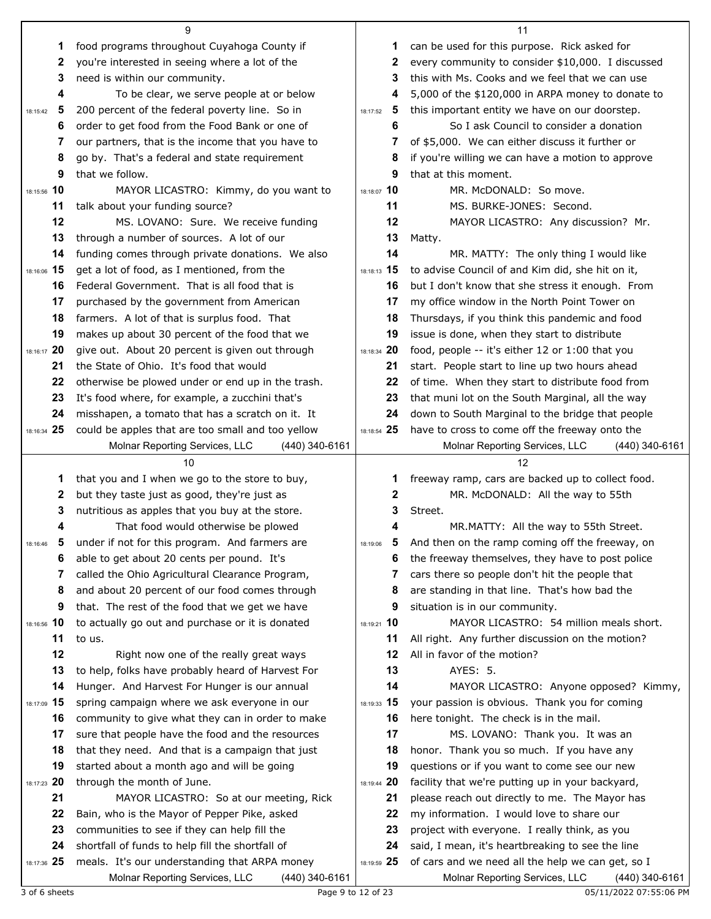|               | 9                                                                                                   |               | 11                                                                                                    |
|---------------|-----------------------------------------------------------------------------------------------------|---------------|-------------------------------------------------------------------------------------------------------|
| 1             | food programs throughout Cuyahoga County if                                                         | 1             | can be used for this purpose. Rick asked for                                                          |
| 2             | you're interested in seeing where a lot of the                                                      | 2             | every community to consider \$10,000. I discussed                                                     |
| 3             | need is within our community.                                                                       | 3             | this with Ms. Cooks and we feel that we can use                                                       |
| 4             | To be clear, we serve people at or below                                                            | 4             | 5,000 of the \$120,000 in ARPA money to donate to                                                     |
| 5<br>18:15:42 | 200 percent of the federal poverty line. So in                                                      | 5<br>18:17:52 | this important entity we have on our doorstep.                                                        |
| 6             | order to get food from the Food Bank or one of                                                      | 6             | So I ask Council to consider a donation                                                               |
| 7             | our partners, that is the income that you have to                                                   | 7             | of \$5,000. We can either discuss it further or                                                       |
| 8             | go by. That's a federal and state requirement                                                       | 8             | if you're willing we can have a motion to approve                                                     |
| 9             | that we follow.                                                                                     | 9             | that at this moment.                                                                                  |
| 18:15:56 10   | MAYOR LICASTRO: Kimmy, do you want to                                                               | 18:18:07 10   | MR. McDONALD: So move.                                                                                |
| 11            | talk about your funding source?                                                                     | 11            | MS. BURKE-JONES: Second.                                                                              |
| 12            | MS. LOVANO: Sure. We receive funding                                                                | 12            | MAYOR LICASTRO: Any discussion? Mr.                                                                   |
| 13            | through a number of sources. A lot of our                                                           | 13            | Matty.                                                                                                |
| 14            | funding comes through private donations. We also                                                    | 14            | MR. MATTY: The only thing I would like                                                                |
| 18:16:06 15   | get a lot of food, as I mentioned, from the                                                         | 18:18:13 15   | to advise Council of and Kim did, she hit on it,                                                      |
| 16            | Federal Government. That is all food that is                                                        | 16            | but I don't know that she stress it enough. From                                                      |
| 17            | purchased by the government from American                                                           | 17            | my office window in the North Point Tower on                                                          |
| 18            | farmers. A lot of that is surplus food. That                                                        | 18            | Thursdays, if you think this pandemic and food                                                        |
| 19            | makes up about 30 percent of the food that we                                                       | 19            | issue is done, when they start to distribute                                                          |
| 18:16:17 20   | give out. About 20 percent is given out through                                                     | 18:18:34 20   | food, people -- it's either 12 or 1:00 that you                                                       |
| 21            | the State of Ohio. It's food that would                                                             | 21            | start. People start to line up two hours ahead                                                        |
| 22            | otherwise be plowed under or end up in the trash.                                                   | 22            | of time. When they start to distribute food from                                                      |
| 23            | It's food where, for example, a zucchini that's                                                     | 23            | that muni lot on the South Marginal, all the way                                                      |
| 24            | misshapen, a tomato that has a scratch on it. It                                                    | 24            | down to South Marginal to the bridge that people                                                      |
| 18:16:34 25   | could be apples that are too small and too yellow                                                   | 18:18:54 25   | have to cross to come off the freeway onto the                                                        |
|               | Molnar Reporting Services, LLC<br>(440) 340-6161                                                    |               | Molnar Reporting Services, LLC<br>(440) 340-6161                                                      |
|               |                                                                                                     |               |                                                                                                       |
|               | 10                                                                                                  |               | 12                                                                                                    |
| 1             | that you and I when we go to the store to buy,                                                      | 1             | freeway ramp, cars are backed up to collect food.                                                     |
| 2             | but they taste just as good, they're just as                                                        | 2             | MR. McDONALD: All the way to 55th                                                                     |
| 3             | nutritious as apples that you buy at the store.                                                     | 3             | Street.                                                                                               |
| 4             | That food would otherwise be plowed                                                                 | 4             | MR.MATTY: All the way to 55th Street.                                                                 |
| 18:16:46      | 5 under if not for this program. And farmers are                                                    | 5<br>18:19:06 | And then on the ramp coming off the freeway, on                                                       |
| 6             | able to get about 20 cents per pound. It's                                                          | 6             | the freeway themselves, they have to post police                                                      |
| 7             | called the Ohio Agricultural Clearance Program,                                                     | 7             | cars there so people don't hit the people that                                                        |
| 8             | and about 20 percent of our food comes through                                                      | 8             | are standing in that line. That's how bad the                                                         |
| 9             | that. The rest of the food that we get we have                                                      | 9             | situation is in our community.                                                                        |
| 18:16:56 10   | to actually go out and purchase or it is donated                                                    | 18:19:21 10   | MAYOR LICASTRO: 54 million meals short.                                                               |
| 11            | to us.                                                                                              | 11            | All right. Any further discussion on the motion?                                                      |
| 12            | Right now one of the really great ways                                                              | 12            | All in favor of the motion?                                                                           |
| 13            | to help, folks have probably heard of Harvest For                                                   | 13            | AYES: 5.                                                                                              |
| 14            | Hunger. And Harvest For Hunger is our annual                                                        | 14            | MAYOR LICASTRO: Anyone opposed? Kimmy,                                                                |
| 18:17:09 15   | spring campaign where we ask everyone in our                                                        | 18:19:33 15   | your passion is obvious. Thank you for coming                                                         |
| 16            | community to give what they can in order to make                                                    | 16            | here tonight. The check is in the mail.                                                               |
| 17            | sure that people have the food and the resources                                                    | 17            | MS. LOVANO: Thank you. It was an                                                                      |
| 18            | that they need. And that is a campaign that just                                                    | 18            | honor. Thank you so much. If you have any                                                             |
| 19            | started about a month ago and will be going                                                         | 19            | questions or if you want to come see our new                                                          |
| 18:17:23 20   | through the month of June.                                                                          | 18:19:44 20   | facility that we're putting up in your backyard,                                                      |
| 21            | MAYOR LICASTRO: So at our meeting, Rick                                                             | 21            | please reach out directly to me. The Mayor has                                                        |
| 22            | Bain, who is the Mayor of Pepper Pike, asked                                                        | 22            | my information. I would love to share our                                                             |
| 23            | communities to see if they can help fill the                                                        | 23            | project with everyone. I really think, as you                                                         |
| 24            | shortfall of funds to help fill the shortfall of                                                    | 24            | said, I mean, it's heartbreaking to see the line                                                      |
| 18:17:36 25   | meals. It's our understanding that ARPA money<br>Molnar Reporting Services, LLC<br>$(440)$ 340-6161 | 18:19:59 25   | of cars and we need all the help we can get, so I<br>Molnar Reporting Services, LLC<br>(440) 340-6161 |

3 of 6 sheets Page 9 to 12 of 23 05/11/2022 07:55:06 PM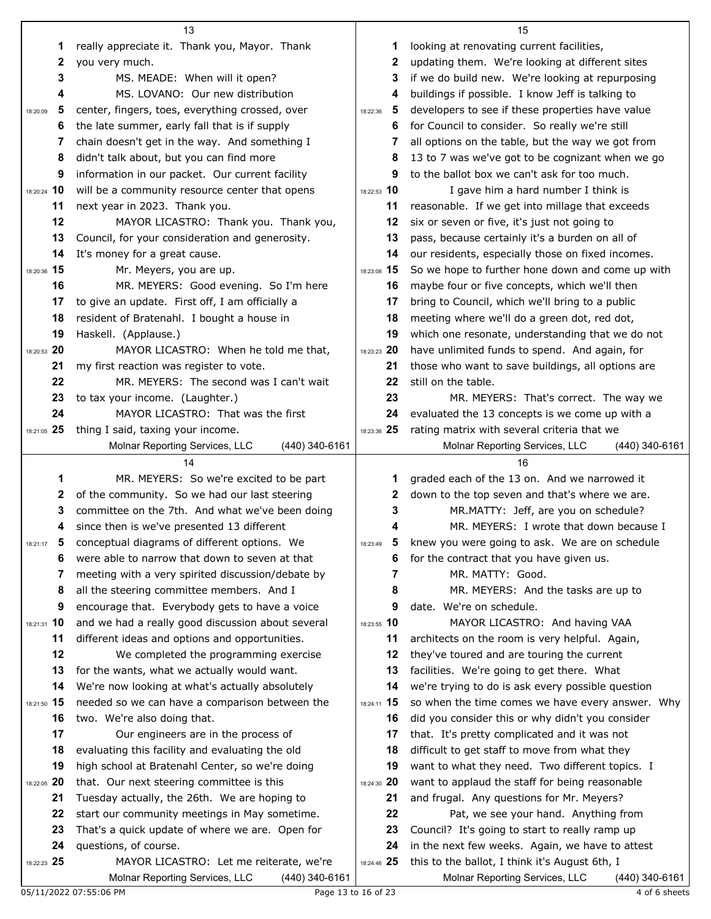|                   | 13                                                                                                  |               | 15                                                         |
|-------------------|-----------------------------------------------------------------------------------------------------|---------------|------------------------------------------------------------|
| 1                 | really appreciate it. Thank you, Mayor. Thank                                                       | 1             | looking at renovating current facilities,                  |
| 2                 | you very much.                                                                                      | 2             | updating them. We're looking at different sites            |
| 3                 | MS. MEADE: When will it open?                                                                       | 3             | if we do build new. We're looking at repurposing           |
| 4                 | MS. LOVANO: Our new distribution                                                                    | 4             | buildings if possible. I know Jeff is talking to           |
| 5<br>18:20:09     | center, fingers, toes, everything crossed, over                                                     | 5<br>18:22:36 | developers to see if these properties have value           |
| 6                 | the late summer, early fall that is if supply                                                       | 6             | for Council to consider. So really we're still             |
| 7                 | chain doesn't get in the way. And something I                                                       | 7             | all options on the table, but the way we got from          |
| 8                 | didn't talk about, but you can find more                                                            | 8             | 13 to 7 was we've got to be cognizant when we go           |
| 9                 | information in our packet. Our current facility                                                     | 9             | to the ballot box we can't ask for too much.               |
| 18:20:24 10       | will be a community resource center that opens                                                      | 18:22:53 10   | I gave him a hard number I think is                        |
| 11                | next year in 2023. Thank you.                                                                       | 11            | reasonable. If we get into millage that exceeds            |
| 12                | MAYOR LICASTRO: Thank you. Thank you,                                                               | 12            | six or seven or five, it's just not going to               |
| 13                | Council, for your consideration and generosity.                                                     | 13            | pass, because certainly it's a burden on all of            |
| 14                | It's money for a great cause.                                                                       | 14            | our residents, especially those on fixed incomes.          |
| 18:20:36 15       | Mr. Meyers, you are up.                                                                             | 18:23:08 15   | So we hope to further hone down and come up with           |
| 16                | MR. MEYERS: Good evening. So I'm here                                                               | 16            | maybe four or five concepts, which we'll then              |
| 17                | to give an update. First off, I am officially a                                                     | 17            | bring to Council, which we'll bring to a public            |
| 18                | resident of Bratenahl. I bought a house in                                                          | 18            | meeting where we'll do a green dot, red dot,               |
| 19                | Haskell. (Applause.)                                                                                | 19            | which one resonate, understanding that we do not           |
| 18:20:53 20       | MAYOR LICASTRO: When he told me that,                                                               | 18:23:23 20   | have unlimited funds to spend. And again, for              |
| 21                | my first reaction was register to vote.                                                             | 21            | those who want to save buildings, all options are          |
| 22                | MR. MEYERS: The second was I can't wait                                                             | 22            | still on the table.                                        |
| 23                | to tax your income. (Laughter.)                                                                     | 23            | MR. MEYERS: That's correct. The way we                     |
| 24                | MAYOR LICASTRO: That was the first                                                                  | 24            | evaluated the 13 concepts is we come up with a             |
| 18:21:05 25       | thing I said, taxing your income.                                                                   | 18:23:36 25   | rating matrix with several criteria that we                |
|                   | Molnar Reporting Services, LLC<br>(440) 340-6161                                                    |               | Molnar Reporting Services, LLC<br>$(440)$ 340-6161         |
|                   |                                                                                                     |               |                                                            |
|                   | 14                                                                                                  |               | 16                                                         |
| 1                 | MR. MEYERS: So we're excited to be part                                                             | 1             | graded each of the 13 on. And we narrowed it               |
| 2                 | of the community. So we had our last steering                                                       | 2             | down to the top seven and that's where we are.             |
| 3                 | committee on the 7th. And what we've been doing                                                     | 3             | MR.MATTY: Jeff, are you on schedule?                       |
| 4                 | since then is we've presented 13 different                                                          | 4             | MR. MEYERS: I wrote that down because I                    |
| 18:21:17          | conceptual diagrams of different options. We                                                        | 18:23:49      | knew you were going to ask. We are on schedule             |
| 6                 | were able to narrow that down to seven at that                                                      | 6             | for the contract that you have given us.                   |
| 7                 | meeting with a very spirited discussion/debate by                                                   | 7             | MR. MATTY: Good.                                           |
| 8<br>9            | all the steering committee members. And I                                                           | 8<br>9        | MR. MEYERS: And the tasks are up to                        |
|                   | encourage that. Everybody gets to have a voice                                                      | 18:23:55 10   | date. We're on schedule.<br>MAYOR LICASTRO: And having VAA |
| 18:21:31 10<br>11 | and we had a really good discussion about several<br>different ideas and options and opportunities. | 11            | architects on the room is very helpful. Again,             |
| 12                | We completed the programming exercise                                                               | 12            | they've toured and are touring the current                 |
| 13                | for the wants, what we actually would want.                                                         | 13            | facilities. We're going to get there. What                 |
| 14                | We're now looking at what's actually absolutely                                                     | 14            | we're trying to do is ask every possible question          |
| 18:21:50 15       | needed so we can have a comparison between the                                                      | 18:24:11 15   | so when the time comes we have every answer. Why           |
| 16                | two. We're also doing that.                                                                         | 16            | did you consider this or why didn't you consider           |
| 17                | Our engineers are in the process of                                                                 | 17            | that. It's pretty complicated and it was not               |
| 18                | evaluating this facility and evaluating the old                                                     | 18            | difficult to get staff to move from what they              |
| 19                | high school at Bratenahl Center, so we're doing                                                     | 19            | want to what they need. Two different topics. I            |
| 18:22:05 20       | that. Our next steering committee is this                                                           | 18:24:30 20   | want to applaud the staff for being reasonable             |
| 21                | Tuesday actually, the 26th. We are hoping to                                                        | 21            | and frugal. Any questions for Mr. Meyers?                  |
| 22                | start our community meetings in May sometime.                                                       | 22            | Pat, we see your hand. Anything from                       |
| 23                | That's a quick update of where we are. Open for                                                     | 23            | Council? It's going to start to really ramp up             |
| 24                | questions, of course.                                                                               | 24            | in the next few weeks. Again, we have to attest            |
| 18:22:23 25       | MAYOR LICASTRO: Let me reiterate, we're                                                             | 18:24:46 25   | this to the ballot, I think it's August 6th, I             |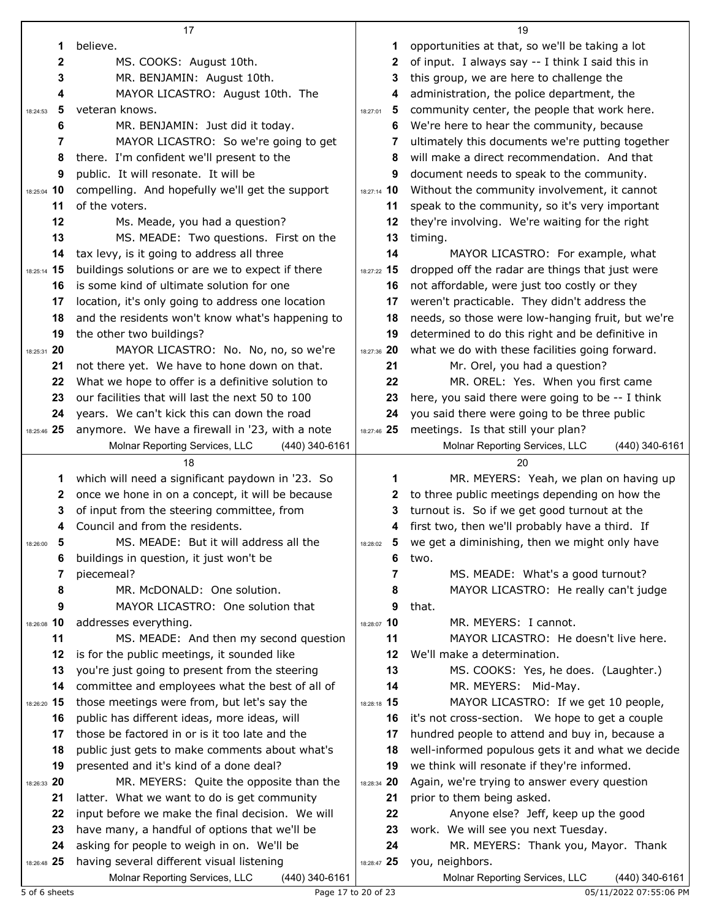|               | 17                                                                                            |               | 19                                                                  |
|---------------|-----------------------------------------------------------------------------------------------|---------------|---------------------------------------------------------------------|
| 1             | believe.                                                                                      | 1             | opportunities at that, so we'll be taking a lot                     |
| $\mathbf{2}$  | MS. COOKS: August 10th.                                                                       | 2             | of input. I always say -- I think I said this in                    |
| 3             | MR. BENJAMIN: August 10th.                                                                    | 3             | this group, we are here to challenge the                            |
| 4             | MAYOR LICASTRO: August 10th. The                                                              | 4             | administration, the police department, the                          |
| 5<br>18:24:53 | veteran knows.                                                                                | 5<br>18:27:01 | community center, the people that work here.                        |
| 6             | MR. BENJAMIN: Just did it today.                                                              | 6             | We're here to hear the community, because                           |
| 7             | MAYOR LICASTRO: So we're going to get                                                         | 7             | ultimately this documents we're putting together                    |
| 8             | there. I'm confident we'll present to the                                                     | 8             | will make a direct recommendation. And that                         |
| 9             | public. It will resonate. It will be                                                          | 9             | document needs to speak to the community.                           |
| 18:25:04 10   | compelling. And hopefully we'll get the support                                               | 18:27:14 10   | Without the community involvement, it cannot                        |
| 11            | of the voters.                                                                                | 11            | speak to the community, so it's very important                      |
| 12            | Ms. Meade, you had a question?                                                                | 12            | they're involving. We're waiting for the right                      |
| 13            | MS. MEADE: Two questions. First on the                                                        | 13            | timing.                                                             |
| 14            | tax levy, is it going to address all three                                                    | 14            | MAYOR LICASTRO: For example, what                                   |
| 18:25:14 15   | buildings solutions or are we to expect if there                                              | 18:27:22 15   | dropped off the radar are things that just were                     |
| 16            | is some kind of ultimate solution for one                                                     | 16            | not affordable, were just too costly or they                        |
| 17            | location, it's only going to address one location                                             | 17            | weren't practicable. They didn't address the                        |
| 18            | and the residents won't know what's happening to                                              | 18            | needs, so those were low-hanging fruit, but we're                   |
| 19            |                                                                                               | 19            | determined to do this right and be definitive in                    |
| 18:25:31 20   | the other two buildings?                                                                      |               |                                                                     |
|               | MAYOR LICASTRO: No. No, no, so we're                                                          | 18:27:36 20   | what we do with these facilities going forward.                     |
| 21            | not there yet. We have to hone down on that.                                                  | 21            | Mr. Orel, you had a question?                                       |
| 22            | What we hope to offer is a definitive solution to                                             | 22            | MR. OREL: Yes. When you first came                                  |
| 23            | our facilities that will last the next 50 to 100                                              | 23            | here, you said there were going to be -- I think                    |
| 24            | years. We can't kick this can down the road                                                   | 24            | you said there were going to be three public                        |
| 18:25:46 25   | anymore. We have a firewall in '23, with a note                                               | 18:27:46 25   | meetings. Is that still your plan?                                  |
|               | Molnar Reporting Services, LLC<br>(440) 340-6161                                              |               | Molnar Reporting Services, LLC<br>(440) 340-6161                    |
|               |                                                                                               |               |                                                                     |
|               | 18                                                                                            |               | 20                                                                  |
| 1             | which will need a significant paydown in '23. So                                              | 1             | MR. MEYERS: Yeah, we plan on having up                              |
| 2             | once we hone in on a concept, it will be because                                              | 2             | to three public meetings depending on how the                       |
| 3             | of input from the steering committee, from                                                    | 3             | turnout is. So if we get good turnout at the                        |
| 4             | Council and from the residents.                                                               |               | first two, then we'll probably have a third. If                     |
| 5<br>18:26:00 | MS. MEADE: But it will address all the                                                        | 18:28:02      | we get a diminishing, then we might only have                       |
| 6             | buildings in question, it just won't be                                                       | 6             | two.                                                                |
| 7             | piecemeal?                                                                                    | 7             | MS. MEADE: What's a good turnout?                                   |
| 8             | MR. McDONALD: One solution.                                                                   | 8             | MAYOR LICASTRO: He really can't judge                               |
| 9             | MAYOR LICASTRO: One solution that                                                             | 9             | that.                                                               |
| 18:26:08 10   | addresses everything.                                                                         | 18:28:07 10   | MR. MEYERS: I cannot.                                               |
| 11            | MS. MEADE: And then my second question                                                        | 11            | MAYOR LICASTRO: He doesn't live here.                               |
| 12            | is for the public meetings, it sounded like                                                   | 12            | We'll make a determination.                                         |
| 13            | you're just going to present from the steering                                                | 13            | MS. COOKS: Yes, he does. (Laughter.)                                |
| 14            | committee and employees what the best of all of                                               | 14            | MR. MEYERS: Mid-May.                                                |
| 18:26:20 15   | those meetings were from, but let's say the                                                   | 18:28:18 15   | MAYOR LICASTRO: If we get 10 people,                                |
| 16            | public has different ideas, more ideas, will                                                  | 16            | it's not cross-section. We hope to get a couple                     |
| 17            | those be factored in or is it too late and the                                                | 17            | hundred people to attend and buy in, because a                      |
| 18            | public just gets to make comments about what's                                                | 18            | well-informed populous gets it and what we decide                   |
| 19            | presented and it's kind of a done deal?                                                       | 19            | we think will resonate if they're informed.                         |
| 18:26:33 20   | MR. MEYERS: Quite the opposite than the                                                       | 18:28:34 20   | Again, we're trying to answer every question                        |
| 21            | latter. What we want to do is get community                                                   | 21            | prior to them being asked.                                          |
| 22            | input before we make the final decision. We will                                              | 22            | Anyone else? Jeff, keep up the good                                 |
| 23            | have many, a handful of options that we'll be                                                 | 23            | work. We will see you next Tuesday.                                 |
| 24            | asking for people to weigh in on. We'll be                                                    | 24            | MR. MEYERS: Thank you, Mayor. Thank                                 |
| 18:26:48 25   | having several different visual listening<br>Molnar Reporting Services, LLC<br>(440) 340-6161 | 18:28:47 25   | you, neighbors.<br>Molnar Reporting Services, LLC<br>(440) 340-6161 |

5 of 6 sheets Page 17 to 20 of 23 05/11/2022 07:55:06 PM